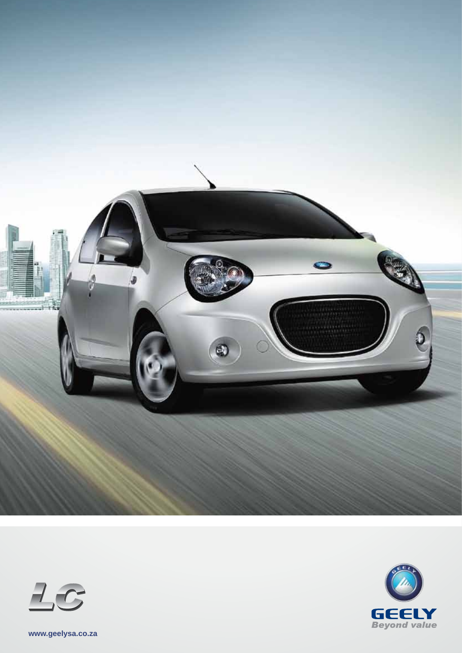





**www.geelysa.co.za**